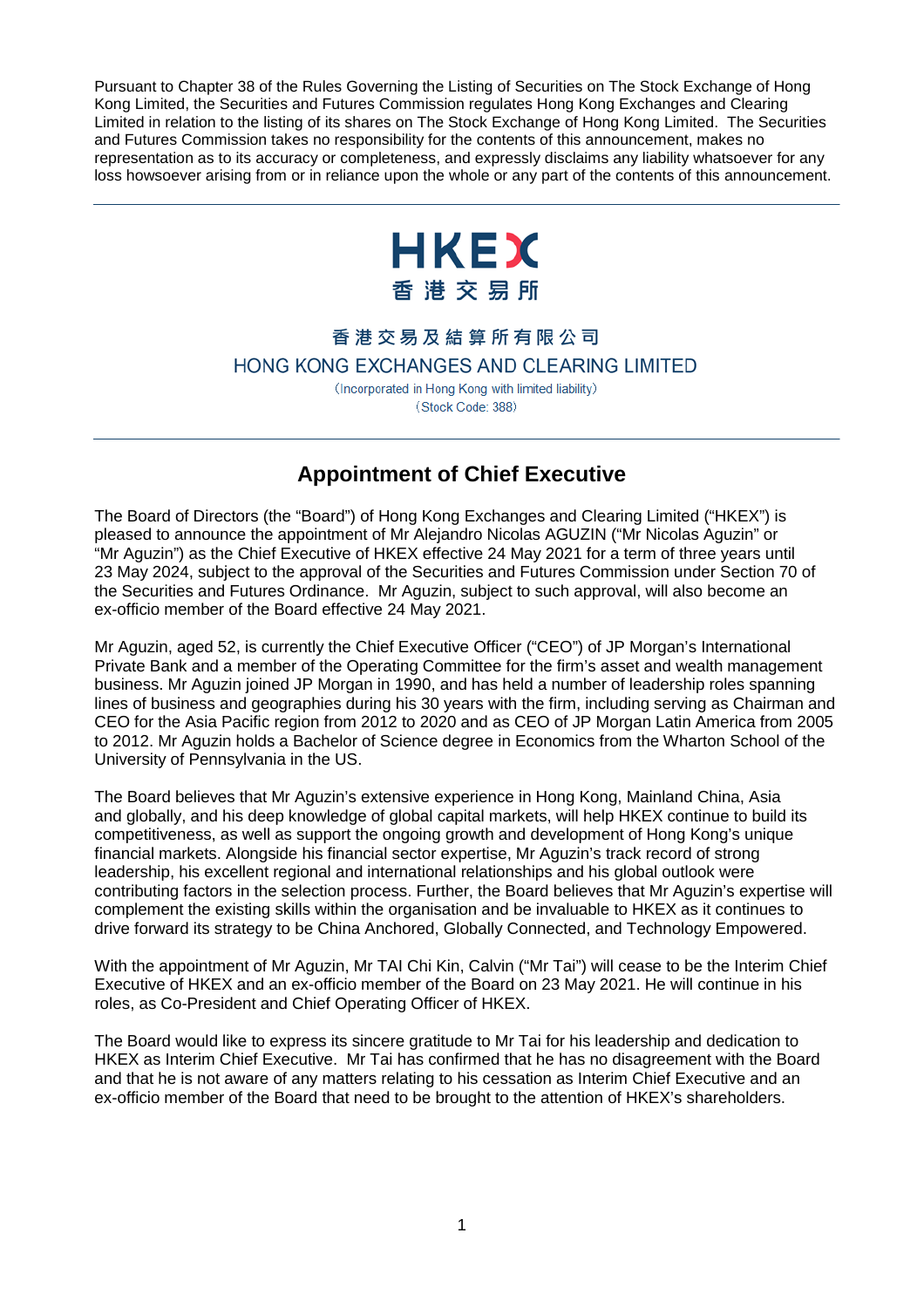Pursuant to Chapter 38 of the Rules Governing the Listing of Securities on The Stock Exchange of Hong Kong Limited, the Securities and Futures Commission regulates Hong Kong Exchanges and Clearing Limited in relation to the listing of its shares on The Stock Exchange of Hong Kong Limited. The Securities and Futures Commission takes no responsibility for the contents of this announcement, makes no representation as to its accuracy or completeness, and expressly disclaims any liability whatsoever for any loss howsoever arising from or in reliance upon the whole or any part of the contents of this announcement.



## 香港交易及結算所有限公司

HONG KONG EXCHANGES AND CLEARING LIMITED

(Incorporated in Hong Kong with limited liability) (Stock Code: 388)

## **Appointment of Chief Executive**

The Board of Directors (the "Board") of Hong Kong Exchanges and Clearing Limited ("HKEX") is pleased to announce the appointment of Mr Alejandro Nicolas AGUZIN ("Mr Nicolas Aguzin" or "Mr Aguzin") as the Chief Executive of HKEX effective 24 May 2021 for a term of three years until 23 May 2024, subject to the approval of the Securities and Futures Commission under Section 70 of the Securities and Futures Ordinance. Mr Aguzin, subject to such approval, will also become an ex-officio member of the Board effective 24 May 2021.

Mr Aguzin, aged 52, is currently the Chief Executive Officer ("CEO") of JP Morgan's International Private Bank and a member of the Operating Committee for the firm's asset and wealth management business. Mr Aguzin joined JP Morgan in 1990, and has held a number of leadership roles spanning lines of business and geographies during his 30 years with the firm, including serving as Chairman and CEO for the Asia Pacific region from 2012 to 2020 and as CEO of JP Morgan Latin America from 2005 to 2012. Mr Aguzin holds a Bachelor of Science degree in Economics from the Wharton School of the University of Pennsylvania in the US.

The Board believes that Mr Aguzin's extensive experience in Hong Kong, Mainland China, Asia and globally, and his deep knowledge of global capital markets, will help HKEX continue to build its competitiveness, as well as support the ongoing growth and development of Hong Kong's unique financial markets. Alongside his financial sector expertise, Mr Aguzin's track record of strong leadership, his excellent regional and international relationships and his global outlook were contributing factors in the selection process. Further, the Board believes that Mr Aguzin's expertise will complement the existing skills within the organisation and be invaluable to HKEX as it continues to drive forward its strategy to be China Anchored, Globally Connected, and Technology Empowered.

With the appointment of Mr Aguzin, Mr TAI Chi Kin, Calvin ("Mr Tai") will cease to be the Interim Chief Executive of HKEX and an ex-officio member of the Board on 23 May 2021. He will continue in his roles, as Co-President and Chief Operating Officer of HKEX.

The Board would like to express its sincere gratitude to Mr Tai for his leadership and dedication to HKEX as Interim Chief Executive. Mr Tai has confirmed that he has no disagreement with the Board and that he is not aware of any matters relating to his cessation as Interim Chief Executive and an ex-officio member of the Board that need to be brought to the attention of HKEX's shareholders.